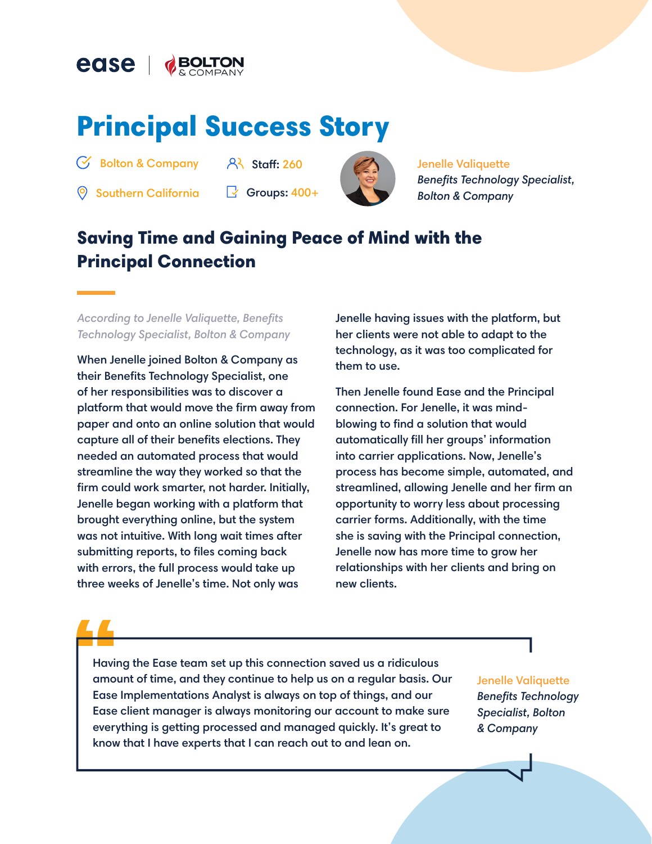

# Principal Success Story

Bolton & Company

 $8<sup>3</sup>$  Staff: 260

 $\circledR$  Southern California  $\circledR$  Groups: 400+



Jenelle Valiquette *Benefits Technology Specialist, Bolton & Company*

## Saving Time and Gaining Peace of Mind with the Principal Connection

*According to Jenelle Valiquette, Benefits Technology Specialist, Bolton & Company*

When Jenelle joined Bolton & Company as their Benefits Technology Specialist, one of her responsibilities was to discover a platform that would move the firm away from paper and onto an online solution that would capture all of their benefits elections. They needed an automated process that would streamline the way they worked so that the firm could work smarter, not harder. Initially, Jenelle began working with a platform that brought everything online, but the system was not intuitive. With long wait times after submitting reports, to files coming back with errors, the full process would take up three weeks of Jenelle's time. Not only was

Jenelle having issues with the platform, but her clients were not able to adapt to the technology, as it was too complicated for them to use.

Then Jenelle found Ease and the Principal connection. For Jenelle, it was mindblowing to find a solution that would automatically fill her groups' information into carrier applications. Now, Jenelle's process has become simple, automated, and streamlined, allowing Jenelle and her firm an opportunity to worry less about processing carrier forms. Additionally, with the time she is saving with the Principal connection, Jenelle now has more time to grow her relationships with her clients and bring on new clients.

Having the Ease team set up this connection saved us a ridiculous amount of time, and they continue to help us on a regular basis. Our Ease Implementations Analyst is always on top of things, and our Ease client manager is always monitoring our account to make sure everything is getting processed and managed quickly. It's great to know that I have experts that I can reach out to and lean on.

Jenelle Valiquette *Benefits Technology Specialist, Bolton & Company*